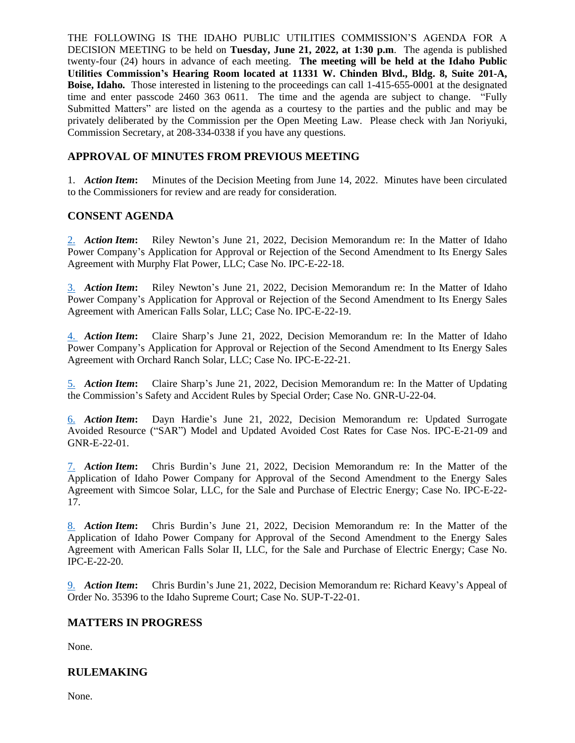THE FOLLOWING IS THE IDAHO PUBLIC UTILITIES COMMISSION'S AGENDA FOR A DECISION MEETING to be held on **Tuesday, June 21, 2022, at 1:30 p.m**. The agenda is published twenty-four (24) hours in advance of each meeting. **The meeting will be held at the Idaho Public Utilities Commission's Hearing Room located at 11331 W. Chinden Blvd., Bldg. 8, Suite 201-A, Boise, Idaho.** Those interested in listening to the proceedings can call 1-415-655-0001 at the designated time and enter passcode 2460 363 0611. The time and the agenda are subject to change. "Fully Submitted Matters" are listed on the agenda as a courtesy to the parties and the public and may be privately deliberated by the Commission per the Open Meeting Law. Please check with Jan Noriyuki, Commission Secretary, at 208-334-0338 if you have any questions.

# **APPROVAL OF MINUTES FROM PREVIOUS MEETING**

1. *Action Item***:** Minutes of the Decision Meeting from June 14, 2022. Minutes have been circulated to the Commissioners for review and are ready for consideration.

### **CONSENT AGENDA**

[2.](https://puc.idaho.gov/Fileroom/PublicFiles/Agenda/memos/2022/20220621_2.IPCE2218_rn.pdf) *Action Item***:** Riley Newton's June 21, 2022, Decision Memorandum re: In the Matter of Idaho Power Company's Application for Approval or Rejection of the Second Amendment to Its Energy Sales Agreement with Murphy Flat Power, LLC; Case No. IPC-E-22-18.

[3.](https://puc.idaho.gov/Fileroom/PublicFiles/Agenda/memos/2022/20220621_3.IPCE2219_rn.pdf) *Action Item***:** Riley Newton's June 21, 2022, Decision Memorandum re: In the Matter of Idaho Power Company's Application for Approval or Rejection of the Second Amendment to Its Energy Sales Agreement with American Falls Solar, LLC; Case No. IPC-E-22-19.

[4.](https://puc.idaho.gov/Fileroom/PublicFiles/Agenda/memos/2022/20220621_4.IPCE2221_cs.pdf) *Action Item***:** Claire Sharp's June 21, 2022, Decision Memorandum re: In the Matter of Idaho Power Company's Application for Approval or Rejection of the Second Amendment to Its Energy Sales Agreement with Orchard Ranch Solar, LLC; Case No. IPC-E-22-21.

[5.](https://puc.idaho.gov/Fileroom/PublicFiles/Agenda/memos/2022/20220621_5.GNRU2204_cs.pdf) *Action Item***:** Claire Sharp's June 21, 2022, Decision Memorandum re: In the Matter of Updating the Commission's Safety and Accident Rules by Special Order; Case No. GNR-U-22-04.

[6.](https://puc.idaho.gov/Fileroom/PublicFiles/Agenda/memos/2022/20220621_6.IPCE2109_GNRE2201_dh.pdf) *Action Item***:** Dayn Hardie's June 21, 2022, Decision Memorandum re: Updated Surrogate Avoided Resource ("SAR") Model and Updated Avoided Cost Rates for Case Nos. IPC-E-21-09 and GNR-E-22-01.

[7.](https://puc.idaho.gov/Fileroom/PublicFiles/Agenda/memos/2022/20220621_7.IPCE2217_cb.pdf) *Action Item***:** Chris Burdin's June 21, 2022, Decision Memorandum re: In the Matter of the Application of Idaho Power Company for Approval of the Second Amendment to the Energy Sales Agreement with Simcoe Solar, LLC, for the Sale and Purchase of Electric Energy; Case No. IPC-E-22- 17.

[8.](https://puc.idaho.gov/Fileroom/PublicFiles/Agenda/memos/2022/20220621_8.IPCE2220_cb.pdf) *Action Item***:** Chris Burdin's June 21, 2022, Decision Memorandum re: In the Matter of the Application of Idaho Power Company for Approval of the Second Amendment to the Energy Sales Agreement with American Falls Solar II, LLC, for the Sale and Purchase of Electric Energy; Case No. IPC-E-22-20.

[9.](https://puc.idaho.gov/Fileroom/PublicFiles/Agenda/memos/2022/20220621_9.SUPT2201_cb.pdf) *Action Item***:** Chris Burdin's June 21, 2022, Decision Memorandum re: Richard Keavy's Appeal of Order No. 35396 to the Idaho Supreme Court; Case No. SUP-T-22-01.

### **MATTERS IN PROGRESS**

None.

### **RULEMAKING**

None.